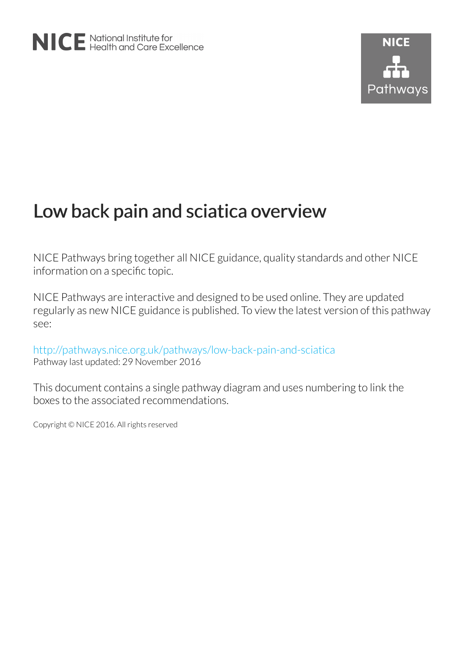# Low back pain and sciatica overview

NICE Pathways bring together all NICE guidance, quality standards and other NICE information on a specific topic.

NICE Pathways are interactive and designed to be used online. They are updated regularly as new NICE guidance is published. To view the latest version of this pathway see:

<http://pathways.nice.org.uk/pathways/low-back-pain-and-sciatica> Pathway last updated: 29 November 2016

This document contains a single pathway diagram and uses numbering to link the boxes to the associated recommendations.

Copyright © NICE 2016. All rights reserved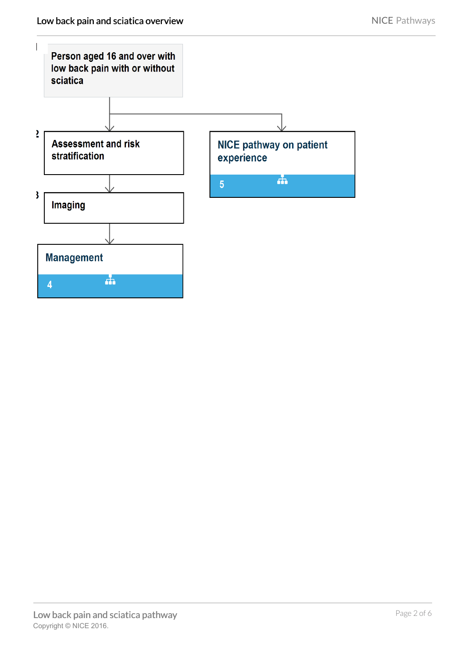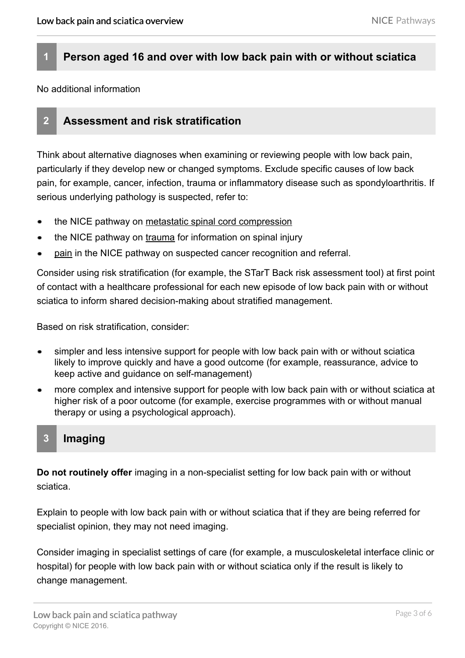## **1 Person aged 16 and over with low back pain with or without sciatica**

No additional information

## **2 Assessment and risk stratification**

Think about alternative diagnoses when examining or reviewing people with low back pain, particularly if they develop new or changed symptoms. Exclude specific causes of low back pain, for example, cancer, infection, trauma or inflammatory disease such as spondyloarthritis. If serious underlying pathology is suspected, refer to:

- the NICE pathway on [metastatic spinal cord compression](http://pathways.nice.org.uk/pathways/metastatic-spinal-cord-compression)
- the NICE pathway on [trauma](http://pathways.nice.org.uk/pathways/trauma) for information on spinal injury
- [pain](http://pathways.nice.org.uk/pathways/suspected-cancer-recognition-and-referral/suspected-cancer-recognition-and-referral-symptoms-and-findings#content=view-node%3Anodes-pain) in the NICE pathway on suspected cancer recognition and referral.

Consider using risk stratification (for example, the STarT Back risk assessment tool) at first point of contact with a healthcare professional for each new episode of low back pain with or without sciatica to inform shared decision-making about stratified management.

Based on risk stratification, consider:

- simpler and less intensive support for people with low back pain with or without sciatica likely to improve quickly and have a good outcome (for example, reassurance, advice to keep active and guidance on self-management)
- more complex and intensive support for people with low back pain with or without sciatica at higher risk of a poor outcome (for example, exercise programmes with or without manual therapy or using a psychological approach).

#### **3 Imaging**

**Do not routinely offer** imaging in a non-specialist setting for low back pain with or without sciatica.

Explain to people with low back pain with or without sciatica that if they are being referred for specialist opinion, they may not need imaging.

Consider imaging in specialist settings of care (for example, a musculoskeletal interface clinic or hospital) for people with low back pain with or without sciatica only if the result is likely to change management.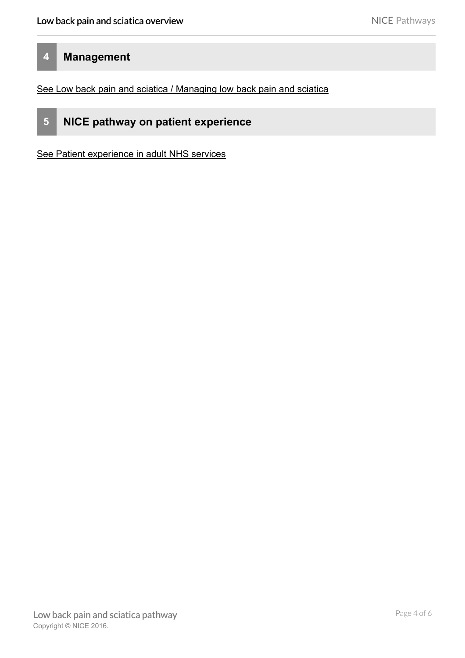## **4 Management**

[See Low back pain and sciatica / Managing low back pain and sciatica](http://pathways.nice.org.uk/pathways/low-back-pain-and-sciatica/managing-low-back-pain-and-sciatica)



**5 NICE pathway on patient experience**

[See Patient experience in adult NHS services](http://pathways.nice.org.uk/pathways/patient-experience-in-adult-nhs-services)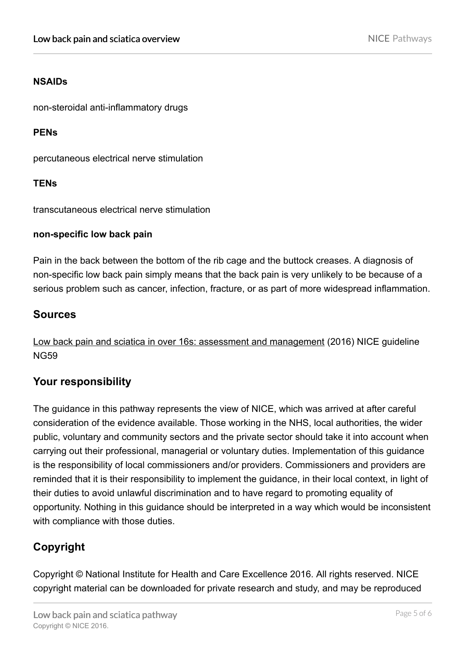#### **NSAIDs**

non-steroidal anti-inflammatory drugs

#### **PENs**

percutaneous electrical nerve stimulation

#### **TENs**

transcutaneous electrical nerve stimulation

#### **non-specific low back pain**

Pain in the back between the bottom of the rib cage and the buttock creases. A diagnosis of non-specific low back pain simply means that the back pain is very unlikely to be because of a serious problem such as cancer, infection, fracture, or as part of more widespread inflammation.

## **Sources**

[Low back pain and sciatica in over 16s: assessment and management](http://www.nice.org.uk/Guidance/NG59) (2016) NICE guideline NG59

## **Your responsibility**

The guidance in this pathway represents the view of NICE, which was arrived at after careful consideration of the evidence available. Those working in the NHS, local authorities, the wider public, voluntary and community sectors and the private sector should take it into account when carrying out their professional, managerial or voluntary duties. Implementation of this guidance is the responsibility of local commissioners and/or providers. Commissioners and providers are reminded that it is their responsibility to implement the guidance, in their local context, in light of their duties to avoid unlawful discrimination and to have regard to promoting equality of opportunity. Nothing in this guidance should be interpreted in a way which would be inconsistent with compliance with those duties.

# **Copyright**

Copyright © National Institute for Health and Care Excellence 2016. All rights reserved. NICE copyright material can be downloaded for private research and study, and may be reproduced